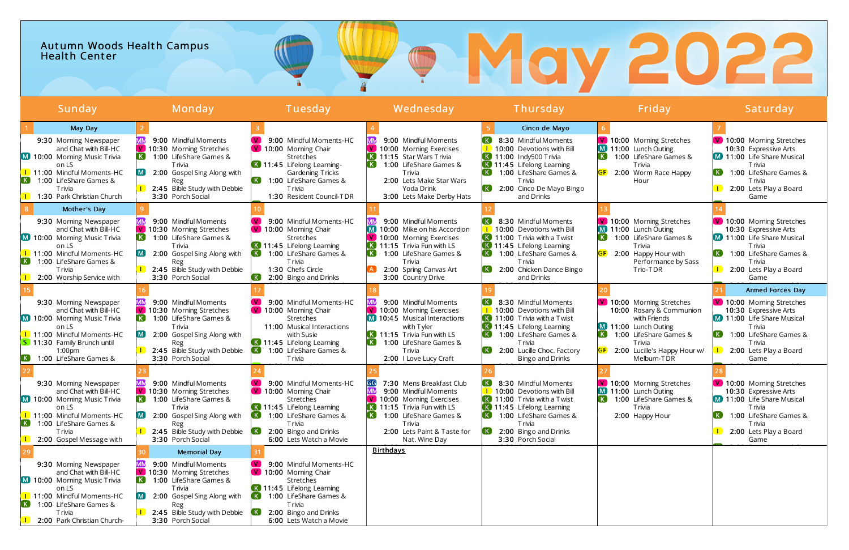## Autumn Woods Health Campus **Health Center**

| Sunday                                                                                                                                                                                                                    | Monday                                                                                                                                                                                                          | Tuesday                                                                                                                                                                                                                         | Wednesday                                                                                                                                                                                                                                                            | Thursday                                                                                                                                                                                                                               | Friday                                                                                                                                                                                                              | Saturday                                                                                                                                                                                                                                    |
|---------------------------------------------------------------------------------------------------------------------------------------------------------------------------------------------------------------------------|-----------------------------------------------------------------------------------------------------------------------------------------------------------------------------------------------------------------|---------------------------------------------------------------------------------------------------------------------------------------------------------------------------------------------------------------------------------|----------------------------------------------------------------------------------------------------------------------------------------------------------------------------------------------------------------------------------------------------------------------|----------------------------------------------------------------------------------------------------------------------------------------------------------------------------------------------------------------------------------------|---------------------------------------------------------------------------------------------------------------------------------------------------------------------------------------------------------------------|---------------------------------------------------------------------------------------------------------------------------------------------------------------------------------------------------------------------------------------------|
| May Day<br>9:30 Morning Newspaper<br>and Chat with Bill-HC<br>M 10:00 Morning Music Trivia<br>on LS<br><b>1</b> 11:00 Mindful Moments-HC<br>(K)<br>1:00 LifeShare Games &<br><b>T</b> rivia<br>1:30 Park Christian Church | 9:00 Mindful Moments<br>V 10:30 Morning Stretches<br>$\left( \mathbf{K}\right)$<br>1:00 LifeShare Games &<br>T rivia<br>2:00 Gospel Sing Along with<br>Reg<br>2:45 Bible Study with Debbie<br>3:30 Porch Social | 9:00 Mindful Moments-HC<br>V 10:00 Morning Chair<br>Stretches<br>$\overline{K}$ 11:45 Lifelong Learning-<br>Gardening Tricks<br>1:00 LifeShare Games &<br><b>T</b> rivia<br>1:30 Resident Council-TDR                           | 9:00 Mindful Moments<br>V 10:00 Morning Exercises<br>K 11:15 Star Wars Trivia<br>$\left( \mathbf{K}\right)$<br>1:00 LifeShare Games &<br><b>T</b> rivia<br>2:00 Lets Make Star Wars<br>Yoda Drink<br>3:00 Lets Make Derby Hats                                       | Cinco de Mayo<br>8:30 Mindful Moments<br>10:00 Devotions with Bill<br>K 11:00 Indy500 Trivia<br>K 11:45 Lifelong Learning<br>$\left( \mathbf{K}\right)$<br>1:00 LifeShare Games &<br>T rivia<br>2:00 Cinco De Mayo Bingo<br>and Drinks | V 10:00 Morning Stretches<br>M 11:00 Lunch Outing<br>$\left[ \begin{array}{c} K \end{array} \right]$<br>1:00 LifeShare Games &<br><b>T</b> rivia<br>2:00 Worm Race Happy<br>Hour                                    | V 10:00 Morning Stretches<br>10:30 Expressive Arts<br>M 11:00 Life Share Musical<br><b>T</b> rivia<br>$\mathsf{K}$<br>1:00 LifeShare Games &<br><b>T</b> rivia<br>2:00 Lets Play a Board<br>Game                                            |
| Mother's Day<br>9:30 Morning Newspaper<br>and Chat with Bill-HC<br>M 10:00 Morning Music Trivia<br>on LS<br>1 11:00 Mindful Moments-HC<br>1:00 LifeShare Games &<br>K<br><b>T</b> rivia<br>2:00 Worship Service with      | 9:00 Mindful Moments<br>V 10:30 Morning Stretches<br>1:00 LifeShare Games &<br><b>T</b> rivia<br>2:00 Gospel Sing Along with<br>Reg<br>2:45 Bible Study with Debbie<br>3:30 Porch Social                        | 9:00 Mindful Moments-HC<br>V 10:00 Morning Chair<br><b>Stretches</b><br>K 11:45 Lifelong Learning<br>1:00 LifeShare Games &<br>. K J<br><b>T</b> rivia<br>1:30 Chefs Circle<br>$\left( \,$ K $\right)$<br>2:00 Bingo and Drinks | 9:00 Mindful Moments<br>M 10:00 Mike on his Accordion<br>V 10:00 Morning Exercises<br>$\overline{K}$ 11:15 Trivia Fun with LS<br>$\lfloor$ K $\rfloor$<br>1:00 LifeShare Games &<br><b>T</b> rivia<br>2:00 Spring Canvas Art<br>3:00 Country Drive                   | 8:30 Mindful Moments<br>10:00 Devotions with Bill<br>K 11:00 Trivia with a Twist<br>K 11:45 Lifelong Learning<br>1:00 LifeShare Games &<br><b>T</b> rivia<br>2:00 Chicken Dance Bingo<br>and Drinks                                    | V 10:00 Morning Stretches<br>M 11:00 Lunch Outing<br>1:00 LifeShare Games &<br><b>T</b> rivia<br>GF<br>2:00 Happy Hour with<br>Performance by Sass<br>Trio-TDR                                                      | V 10:00 Morning Stretches<br>10:30 Expressive Arts<br><b>M</b> 11:00 Life Share Musical<br><b>T</b> rivia<br>$K$ .<br>1:00 LifeShare Games &<br><b>T</b> rivia<br>2:00 Lets Play a Board<br>Game                                            |
| 9:30 Morning Newspaper<br>and Chat with Bill-HC<br>M 10:00 Morning Music Trivia<br>on LS<br>1 11:00 Mindful Moments-HC<br><b>S</b> 11:30 Family Brunch until<br>1:00 <sub>pm</sub><br>K I<br>1:00 LifeShare Games &       | 9:00 Mindful Moments<br>V 10:30 Morning Stretches<br>1:00 LifeShare Games &<br>T rivia<br>2:00 Gospel Sing Along with<br>Reg<br>2:45 Bible Study with Debbie<br>3:30 Porch Social                               | 9:00 Mindful Moments-HC<br>V 10:00 Morning Chair<br>Stretches<br>11:00 Musical Interactions<br>with Susie<br>K 11:45 Lifelong Learning<br>1:00 LifeShare Games &<br>T rivia                                                     | 9:00 Mindful Moments<br>V 10:00 Morning Exercises<br>M 10:45 Musical Interactions<br>with Tyler<br>$\overline{K}$ 11:15 Trivia Fun with LS<br>1:00 LifeShare Games &<br><b>T</b> rivia<br>2:00 I Love Lucy Craft                                                     | 8:30 Mindful Moments<br>10:00 Devotions with Bill<br>K 11:00 Trivia with a Twist<br>K 11:45 Lifelong Learning<br>1:00 LifeShare Games &<br>T rivia<br>2:00 Lucille Choc. Factory<br>Bingo and Drinks                                   | V 10:00 Morning Stretches<br>10:00 Rosary & Communion<br>with Friends<br>M 11:00 Lunch Outing<br>1:00 LifeShare Games &<br>$\lfloor\,$ K $\rfloor$<br><b>T</b> rivia<br>2:00 Lucille's Happy Hour w/<br>Melburn-TDR | <b>Armed Forces Day</b><br>V 10:00 Morning Stretches<br>10:30 Expressive Arts<br>M 11:00 Life Share Musical<br><b>T</b> rivia<br>1:00 LifeShare Games &<br>$\lfloor \mathsf{K} \rfloor$<br><b>T</b> rivia<br>2:00 Lets Play a Board<br>Game |
| 9:30 Morning Newspaper<br>and Chat with Bill-HC<br>M 10:00 Morning Music Trivia<br>on LS<br>1 11:00 Mindful Moments-HC<br>K 1:00 LifeShare Games &<br><b>T</b> rivia<br>2:00 Gospel Message with                          | 9:00 Mindful Moments<br>V 10:30 Morning Stretches<br>1:00 LifeShare Games &<br>T rivia<br>2:00 Gospel Sing Along with<br>Reg<br>2:45 Bible Study with Debbie<br>3:30 Porch Social                               | 9:00 Mindful Moments-HC<br>V 10:00 Morning Chair<br>Stretches<br>K 11:45 Lifelong Learning<br>1:00 LifeShare Games &<br><b>T</b> rivia<br>2:00 Bingo and Drinks<br>6:00 Lets Watch a Movie                                      | GG<br>7:30 Mens Breakfast Club<br>ΜM<br>9:00 Mindful Moments<br>V 10:00 Morning Exercises<br>$\overline{\mathbf{K}}$ 11:15 Trivia Fun with LS<br>$\left( \,$ K $\right)$<br>1:00 LifeShare Games &<br><b>T</b> rivia<br>2:00 Lets Paint & Taste for<br>Nat. Wine Day | 8:30 Mindful Moments<br>10:00 Devotions with Bill<br>$\overline{K}$ 11:00 Trivia with a Twist<br>K 11:45 Lifelong Learning<br>1:00 LifeShare Games &<br><b>T</b> rivia<br>(K)<br>2:00 Bingo and Drinks<br>3:30 Porch Social            | V 10:00 Morning Stretches<br>M 11:00 Lunch Outing<br>1:00 LifeShare Games &<br><b>T</b> rivia<br>2:00 Happy Hour                                                                                                    | V 10:00 Morning Stretches<br>10:30 Expressive Arts<br><b>M</b> 11:00 Life Share Musical<br><b>T</b> rivia<br>1:00 LifeShare Games &<br>$\left( \mathsf{K}\right)$<br><b>T</b> rivia<br>2:00 Lets Play a Board<br>Game                       |
| 9:30 Morning Newspaper<br>and Chat with Bill-HC<br>M 10:00 Morning Music Trivia<br>on LS<br>1 11:00 Mindful Moments-HC<br>(K)<br>1:00 LifeShare Games &<br>T rivia<br>2:00 Park Christian Church-                         | <b>Memorial Day</b><br>9:00 Mindful Moments<br>V 10:30 Morning Stretches<br>1:00 LifeShare Games &<br>T rivia<br>2:00 Gospel Sing Along with<br>Reg<br>2:45 Bible Study with Debbie<br>3:30 Porch Social        | 9:00 Mindful Moments-HC<br>V 10:00 Morning Chair<br><b>Stretches</b><br>K 11:45 Lifelong Learning<br>1:00 LifeShare Games &<br><b>T</b> rivia<br>2:00 Bingo and Drinks<br>6:00 Lets Watch a Movie                               | <b>Birthdays</b>                                                                                                                                                                                                                                                     |                                                                                                                                                                                                                                        |                                                                                                                                                                                                                     |                                                                                                                                                                                                                                             |

# **THey 2022**